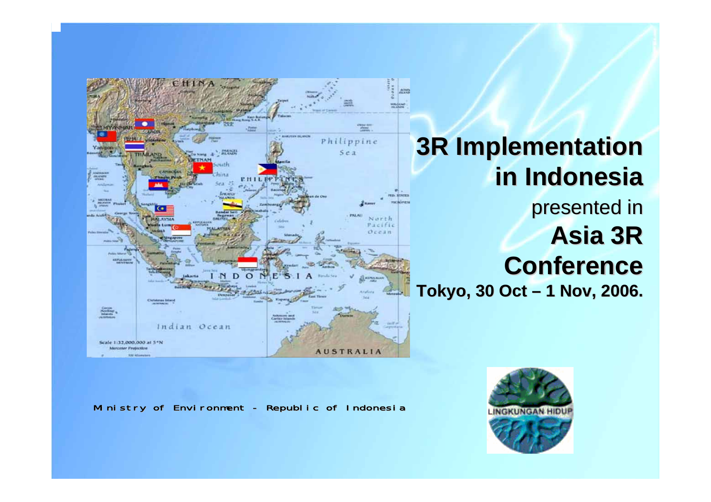

# **3R Implementation in Indonesia in Indonesia**presented in Asia 3R **Conference ConferenceTokyo, 30 Oct – 1 Nov, 2006.**

Ministry of Environment - Republic of Indonesia

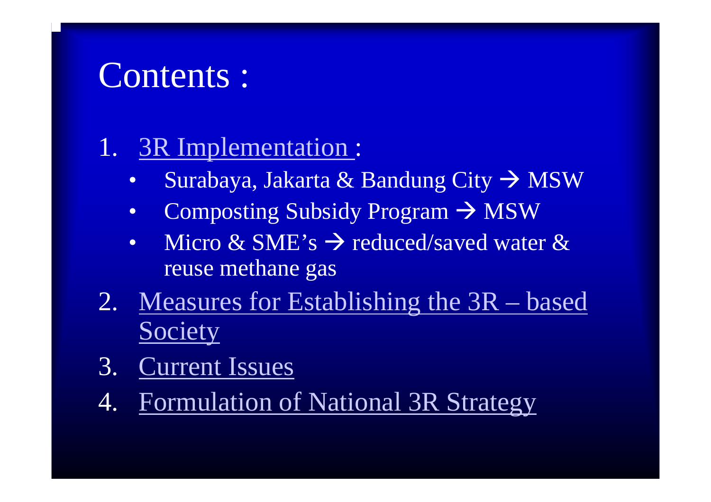# Contents :

# 1. 3R Implementation :

- •Surabaya, Jakarta & Bandung City  $\rightarrow$  MSW
- •Composting Subsidy Program  $\rightarrow$  MSW
- •Micro & SME's  $\rightarrow$  reduced/saved water & reuse methane gas
- 2. Measures for Establishing the 3R based **Society**
- 3. Current Issues
- 4. Formulation of National 3R Strategy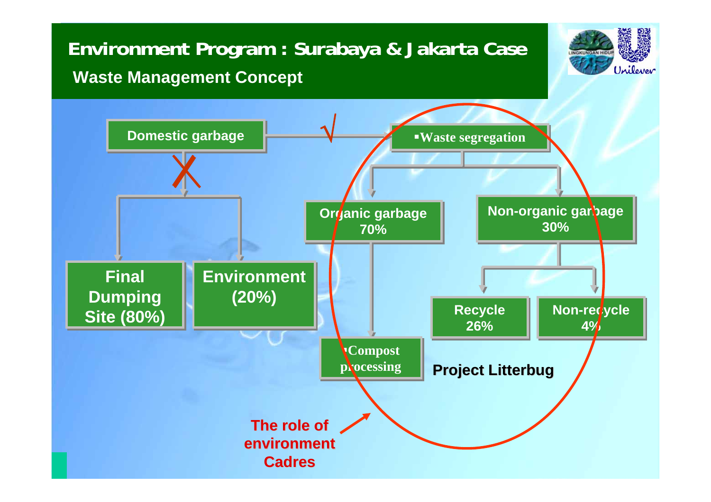## **Environment Program : Surabaya & Jakarta Case Waste Management Concept**



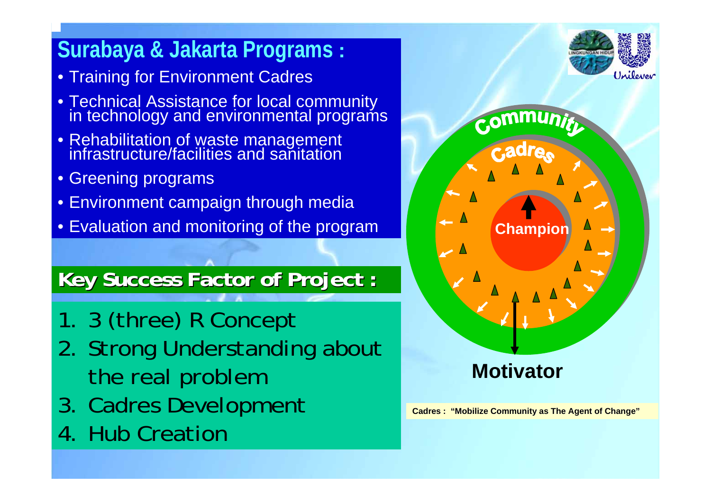# **Surabaya & Jakarta Programs :**

- Training for Environment Cadres
- Technical Assistance for local community in technology and environmental programs
- Rehabilitation of waste management infrastructure/facilities and sanitation
- Greening programs
- Environment campaign through media
- Evaluation and monitoring of the program

## **Key Success Factor of Project : Key Success Factor of Project :**

- 1. 3 (three) R Concept
- 2. Strong Understanding about the real problem
- 3. Cadres Development
- 4. Hub Creation





**Cadres : "Mobilize Community as The Agent of Change"**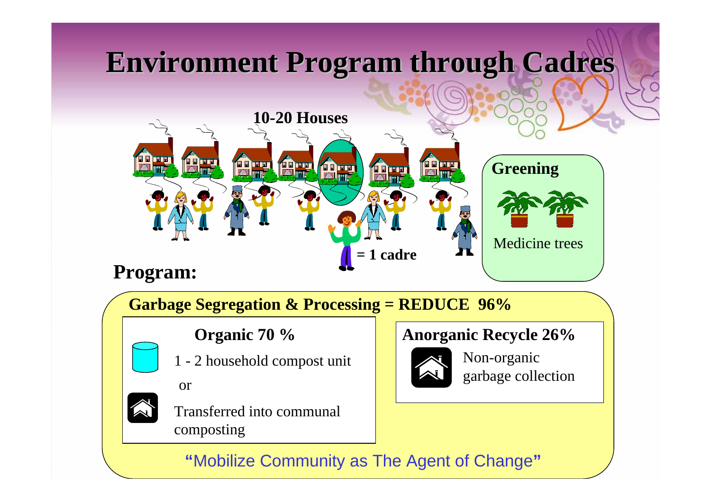# **Environment Program through Cadres Environment Program through Cadres**



**Garbage Segregation & Processing = REDUCE 96%**

### **Organic 70 %**

- 
- 1 2 household compost unit
- or

Transferred into communal composting

#### **Anorganic Recycle 26%**



Non-organic garbage collection

### **"**Mobilize Community as The Agent of Change **"**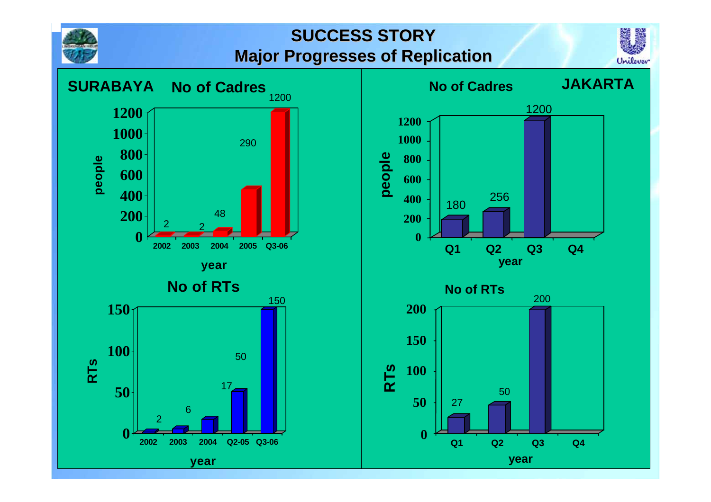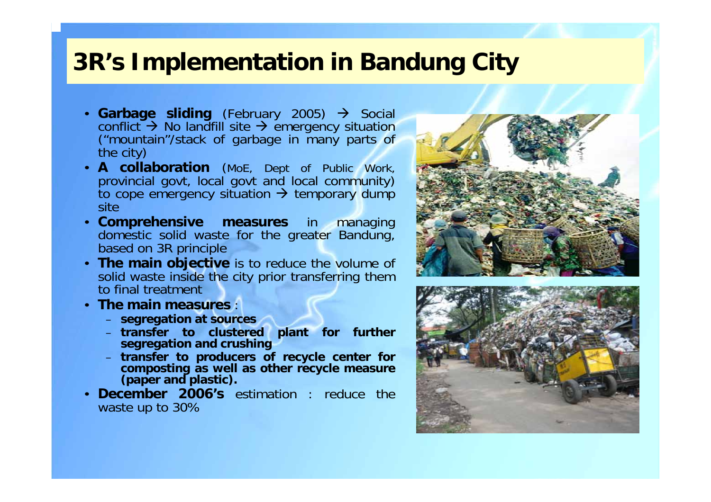## **3R's Implementation in Bandung City**

- Garbage sliding (February 2005)  $\rightarrow$  Social conflict  $\rightarrow$  No landfill site  $\rightarrow$ ("mountain"/stack of garbage in many parts of the city)
- **A collaboration** (MoE, Dept of Public Work, provincial govt, local govt and local community) to cope emergency situation  $\rightarrow$  temporary dump site
- **Comprehensive measures** in managing domestic solid waste for the greater Bandung, based on 3R principle
- **The main objective** is to reduce the volume of solid waste inside the city prior transferring them to final treatment
- **The main measures** :
	- **segregation at sources**
	- **transfer to clustered plant for further segregation and crushing**
	- **transfer to producers of recycle center for composting as well as other recycle measure (paper and plastic).**
- • **December 2006's** estimation : reduce the waste up to 30%



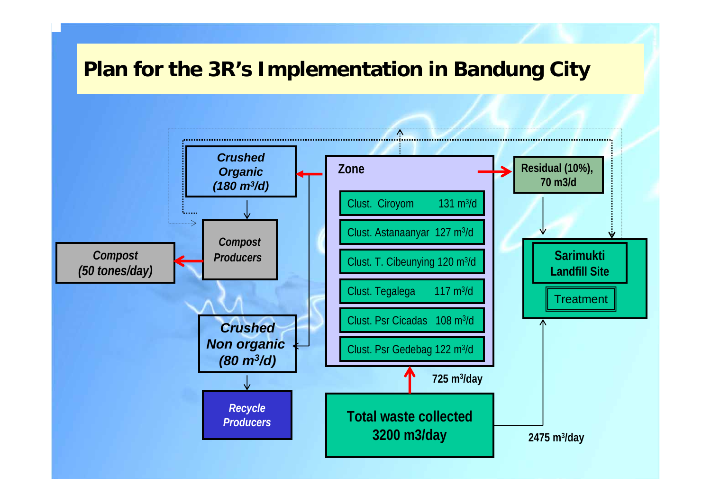## **Plan for the 3R's Implementation in Bandung City**

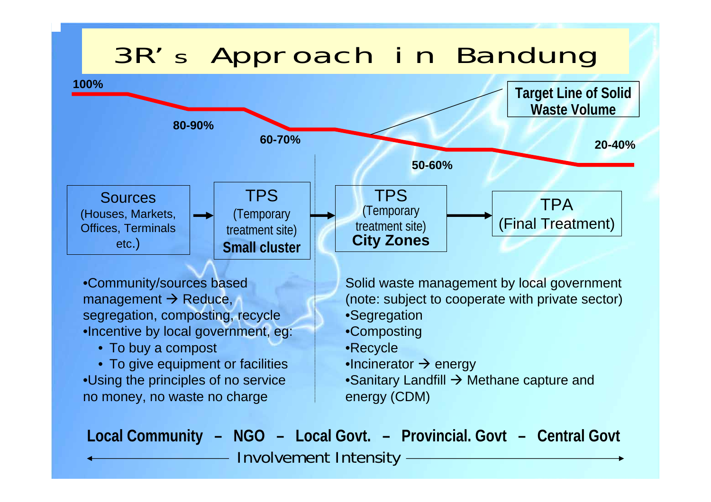# 3R's Approach in Bandung



Involvement Intensity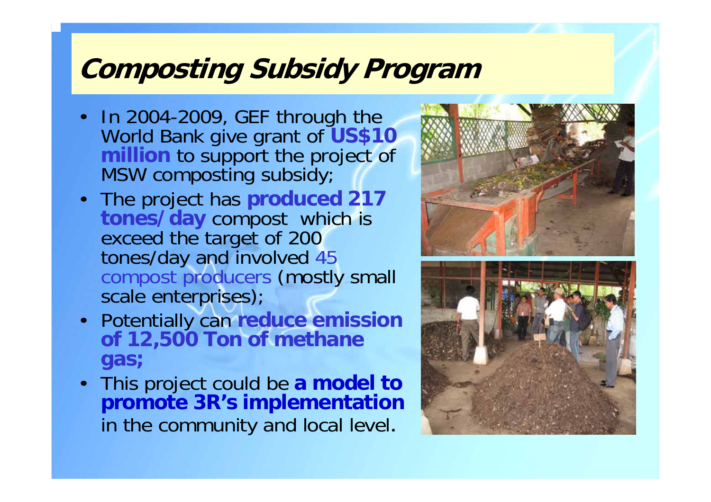# **Composting Subsidy Program**

- In 2004-2009, GEF through the World Bank give grant of **US\$10 million** to support the project of MSW composting subsidy;
- The project has produced 217 tones/day compost which is exceed the target of 200 tones/day and involved 45 compost producers (mostly small scale enterprises);
- Potentially can **reduce emission of 12,500 Ton of methane gas;**
- This project could be **a model to promote 3R's implementation** in the community and local level.

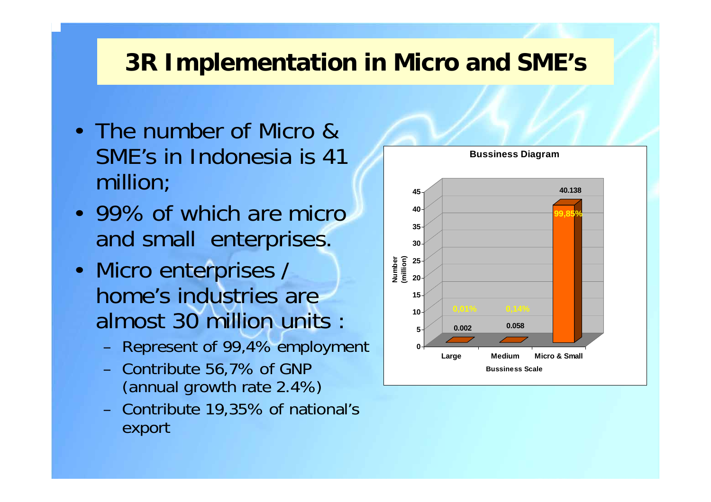## **3R Implementation in Micro and SME's**

- The number of Micro & SME's in Indonesia is 41 million;
- 99% of which are micro and small enterprises.
- • Micro enterprises / home's industries are almost 30 million units :
	- Represent of 99,4% employment
	- Contribute 56,7% of GNP (annual growth rate 2.4%)
	- Contribute 19,35% of national's export

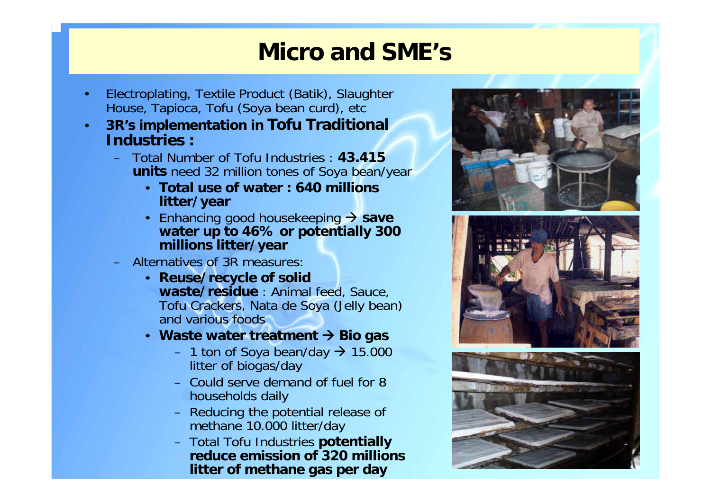## **Micro and SME's**

- • Electroplating, Textile Product (Batik), Slaughter House, Tapioca, Tofu (Soya bean curd), etc
- • **3R's implementation in Tofu Traditional Industries :**
	- Total Number of Tofu Industries : **43.415 units** need 32 million tones of Soya bean/year
		- **Total use of water : 640 millions litter/year**
		- Enhancing good housekeeping Æ **save water up to 46% or potentially 300 millions litter/year**
	- Alternatives of 3R measures:
		- **Reuse/recycle of solid waste/residue** : Animal feed, Sauce, Tofu Crackers, Nata de Soya (Jelly bean) and various foods
		- **Waste water treatment**  Æ **Bio gas**
			- $-$  1 ton of Soya bean/day  $\rightarrow$  15.000 litter of biogas/day
			- Could serve demand of fuel for 8 households daily
			- Reducing the potential release of methane 10.000 litter/day
			- Total Tofu Industries **potentially reduce emission of 320 millions litter of methane gas per day**





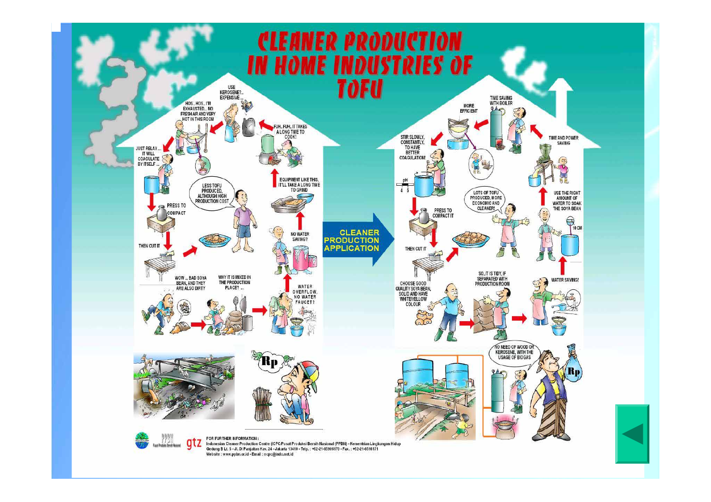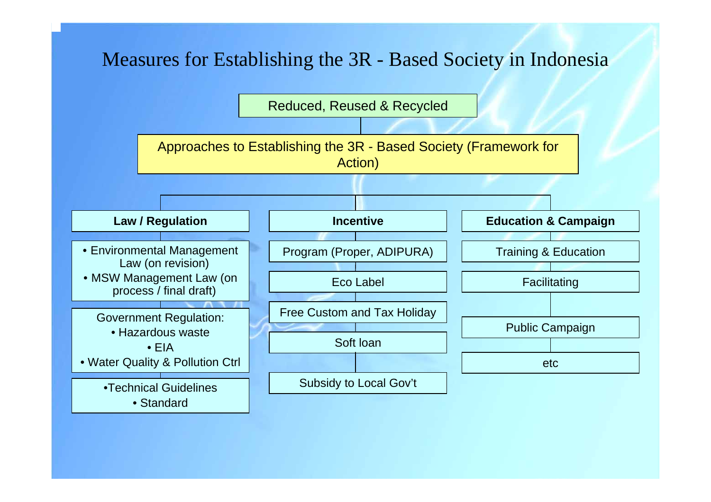## Measures for Establishing the 3R - Based Society in Indonesia

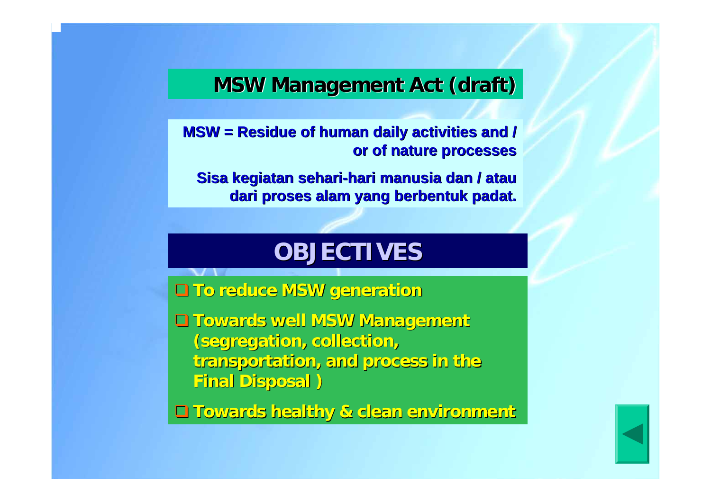## **MSW Management Act (draft) MSW Management Act (draft)**

**MSW = Residue of human daily activities and / MSW = Residue of human daily activities and / or of nature processes or of nature processes**

**Sisa kegiatan sehari Sisa kegiatan sehari -hari manusia dan / atau hari manusia dan / atau dari proses alam yang berbentuk padat. dari proses alam yang berbentuk padat.**

## **OBJECTIVES OBJECTIVES**

**To reduce MSW generation To reduce MSW generation**

 **Towards well MSW Management Towards well MSW Management (segregation, collection, (segregation, collection, transportation, and process in the transportation, and process in the Final Disposal ) Final Disposal )**

**Towards healthy & clean environment Towards healthy & clean environment**

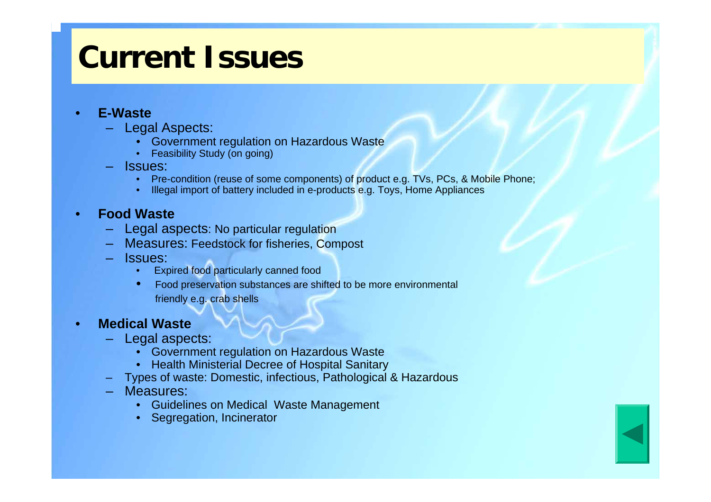# **Current Issues**

#### •**E-Waste**

- Legal Aspects:
	- •Government regulation on Hazardous Waste
	- Feasibility Study (on going)
- Issues:
	- Pre-condition (reuse of some components) of product e.g. TVs, PCs, & Mobile Phone;
	- •Illegal import of battery included in e-products e.g. Toys, Home Appliances

#### •**Food Waste**

- Legal aspects: No particular regulation
- Measures: Feedstock for fisheries, Compost
- Issues:
	- •Expired food particularly canned food
	- • Food preservation substances are shifted to be more environmental friendly e.g. crab shells

#### •**Medical Waste**

- Legal aspects:
	- Government regulation on Hazardous Waste
	- Health Ministerial Decree of Hospital Sanitary
- –Types of waste: Domestic, infectious, Pathological & Hazardous
- Measures:
	- •Guidelines on Medical Waste Management
	- •Segregation, Incinerator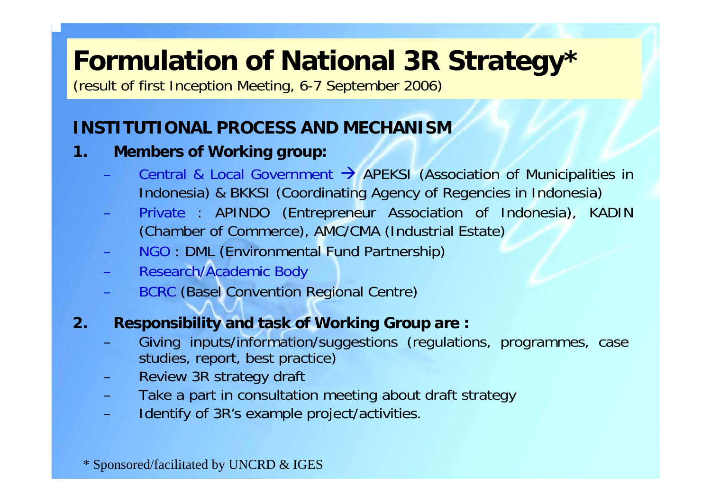# **Formulation of National 3R Strategy\***

(result of first Inception Meeting, 6-7 September 2006)

## **INSTITUTIONAL PROCESS AND MECHANISM**

#### **1. Members of Working group:**

- Central & Local Government  $\rightarrow$  APEKSI (Association of Municipalities in Indonesia) & BKKSI (Coordinating Agency of Regencies in Indonesia)
- Private : APINDO (Entrepreneur Association of Indonesia), KADIN (Chamber of Commerce), AMC/CMA (Industrial Estate)
- NGO : DML (Environmental Fund Partnership)
- Research/Academic Body
- BCRC (Basel Convention Regional Centre)

### **2. Responsibility and task of Working Group are :**

- Giving inputs/information/suggestions (regulations, programmes, case studies, report, best practice)
- Review 3R strategy draft
- Take a part in consultation meeting about draft strategy
- Identify of 3R's example project/activities.

\* Sponsored/facilitated by UNCRD & IGES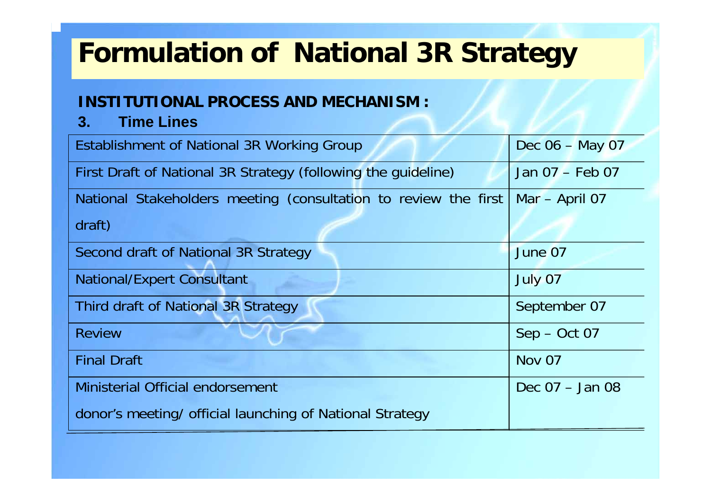# **Formulation of National 3R Strategy**

#### **INSTITUTIONAL PROCESS AND MECHANISM :**

**3. Time Lines**

| Establishment of National 3R Working Group                      | Dec 06 - May 07   |
|-----------------------------------------------------------------|-------------------|
| First Draft of National 3R Strategy (following the guideline)   | Jan 07 - Feb 07   |
| National Stakeholders meeting (consultation to review the first | Mar - April 07    |
| draft)                                                          |                   |
| Second draft of National 3R Strategy                            | June 07           |
| <b>National/Expert Consultant</b>                               | July 07           |
| <b>Third draft of National 3R Strategy</b>                      | September 07      |
| <b>Review</b>                                                   | $Sep - Oct 07$    |
| <b>Final Draft</b>                                              | Nov 07            |
| <b>Ministerial Official endorsement</b>                         | Dec $07 -$ Jan 08 |
| donor's meeting/ official launching of National Strategy        |                   |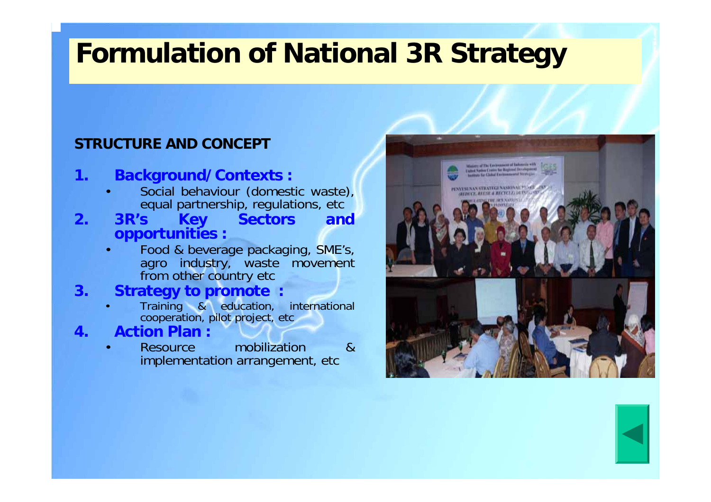# **Formulation of National 3R Strategy**

#### **STRUCTURE AND CONCEPT**

#### **1. Background/Contexts :**

- • Social behaviour (domestic waste), equal partnership, regulations, etc
- **2. 3R's Key Sectors and opportunities :**
	- • Food & beverage packaging, SME's, agro industry, waste movement from other country etc

#### **3. Strategy to promote :**

- Training & education, international cooperation, pilot project, etc
- **4. Action Plan :**

•

• Resource mobilization & implementation arrangement, etc